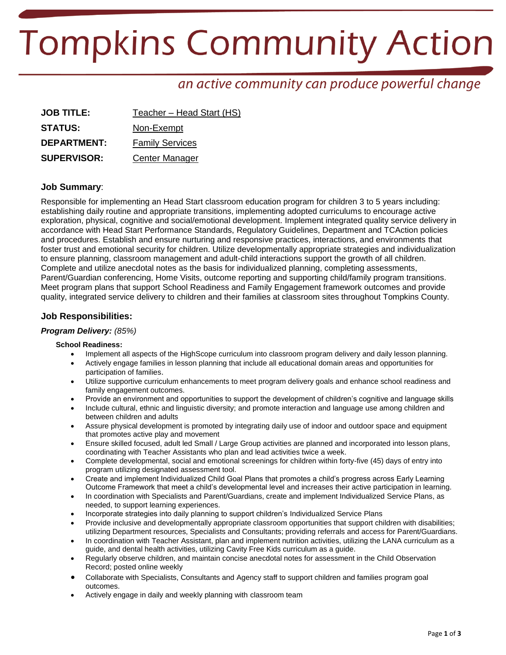# **Tompkins Community Action**

# an active community can produce powerful change

| <b>JOB TITLE:</b>  | Teacher - Head Start (HS) |
|--------------------|---------------------------|
| <b>STATUS:</b>     | Non-Exempt                |
| <b>DEPARTMENT:</b> | <b>Family Services</b>    |
| <b>SUPERVISOR:</b> | Center Manager            |

### **Job Summary**:

Responsible for implementing an Head Start classroom education program for children 3 to 5 years including: establishing daily routine and appropriate transitions, implementing adopted curriculums to encourage active exploration, physical, cognitive and social/emotional development. Implement integrated quality service delivery in accordance with Head Start Performance Standards, Regulatory Guidelines, Department and TCAction policies and procedures. Establish and ensure nurturing and responsive practices, interactions, and environments that foster trust and emotional security for children. Utilize developmentally appropriate strategies and individualization to ensure planning, classroom management and adult-child interactions support the growth of all children. Complete and utilize anecdotal notes as the basis for individualized planning, completing assessments, Parent/Guardian conferencing, Home Visits, outcome reporting and supporting child/family program transitions. Meet program plans that support School Readiness and Family Engagement framework outcomes and provide quality, integrated service delivery to children and their families at classroom sites throughout Tompkins County.

## **Job Responsibilities:**

#### *Program Delivery: (85%)*

#### **School Readiness:**

- Implement all aspects of the HighScope curriculum into classroom program delivery and daily lesson planning.
- Actively engage families in lesson planning that include all educational domain areas and opportunities for participation of families.
- Utilize supportive curriculum enhancements to meet program delivery goals and enhance school readiness and family engagement outcomes.
- Provide an environment and opportunities to support the development of children's cognitive and language skills
- Include cultural, ethnic and linguistic diversity; and promote interaction and language use among children and between children and adults
- Assure physical development is promoted by integrating daily use of indoor and outdoor space and equipment that promotes active play and movement
- Ensure skilled focused, adult led Small / Large Group activities are planned and incorporated into lesson plans, coordinating with Teacher Assistants who plan and lead activities twice a week.
- Complete developmental, social and emotional screenings for children within forty-five (45) days of entry into program utilizing designated assessment tool.
- Create and implement Individualized Child Goal Plans that promotes a child's progress across Early Learning Outcome Framework that meet a child's developmental level and increases their active participation in learning.
- In coordination with Specialists and Parent/Guardians, create and implement Individualized Service Plans, as needed, to support learning experiences.
- Incorporate strategies into daily planning to support children's Individualized Service Plans
- Provide inclusive and developmentally appropriate classroom opportunities that support children with disabilities; utilizing Department resources, Specialists and Consultants; providing referrals and access for Parent/Guardians.
- In coordination with Teacher Assistant, plan and implement nutrition activities, utilizing the LANA curriculum as a guide, and dental health activities, utilizing Cavity Free Kids curriculum as a guide.
- Regularly observe children, and maintain concise anecdotal notes for assessment in the Child Observation Record; posted online weekly
- Collaborate with Specialists, Consultants and Agency staff to support children and families program goal outcomes.
- Actively engage in daily and weekly planning with classroom team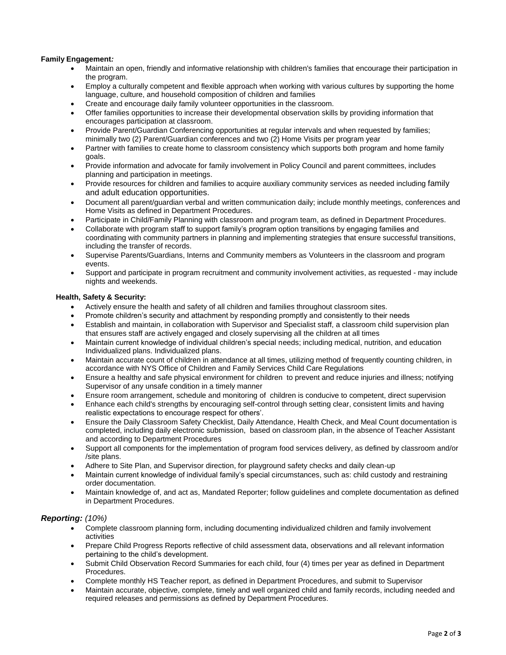#### **Family Engagement***:*

- Maintain an open, friendly and informative relationship with children's families that encourage their participation in the program.
- Employ a culturally competent and flexible approach when working with various cultures by supporting the home language, culture, and household composition of children and families
- Create and encourage daily family volunteer opportunities in the classroom.
- Offer families opportunities to increase their developmental observation skills by providing information that encourages participation at classroom.
- Provide Parent/Guardian Conferencing opportunities at regular intervals and when requested by families; minimally two (2) Parent/Guardian conferences and two (2) Home Visits per program year
- Partner with families to create home to classroom consistency which supports both program and home family goals.
- Provide information and advocate for family involvement in Policy Council and parent committees, includes planning and participation in meetings.
- Provide resources for children and families to acquire auxiliary community services as needed including family and adult education opportunities.
- Document all parent/guardian verbal and written communication daily; include monthly meetings, conferences and Home Visits as defined in Department Procedures.
- Participate in Child/Family Planning with classroom and program team, as defined in Department Procedures.
- Collaborate with program staff to support family's program option transitions by engaging families and coordinating with community partners in planning and implementing strategies that ensure successful transitions, including the transfer of records.
- Supervise Parents/Guardians, Interns and Community members as Volunteers in the classroom and program events.
- Support and participate in program recruitment and community involvement activities, as requested may include nights and weekends.

#### **Health, Safety & Security:**

- Actively ensure the health and safety of all children and families throughout classroom sites.
- Promote children's security and attachment by responding promptly and consistently to their needs
- Establish and maintain, in collaboration with Supervisor and Specialist staff, a classroom child supervision plan that ensures staff are actively engaged and closely supervising all the children at all times
- Maintain current knowledge of individual children's special needs; including medical, nutrition, and education Individualized plans. Individualized plans.
- Maintain accurate count of children in attendance at all times, utilizing method of frequently counting children, in accordance with NYS Office of Children and Family Services Child Care Regulations
- Ensure a healthy and safe physical environment for children to prevent and reduce injuries and illness; notifying Supervisor of any unsafe condition in a timely manner
- Ensure room arrangement, schedule and monitoring of children is conducive to competent, direct supervision
- Enhance each child's strengths by encouraging self-control through setting clear, consistent limits and having realistic expectations to encourage respect for others'.
- Ensure the Daily Classroom Safety Checklist, Daily Attendance, Health Check, and Meal Count documentation is completed, including daily electronic submission, based on classroom plan, in the absence of Teacher Assistant and according to Department Procedures
- Support all components for the implementation of program food services delivery, as defined by classroom and/or /site plans.
- Adhere to Site Plan, and Supervisor direction, for playground safety checks and daily clean-up
- Maintain current knowledge of individual family's special circumstances, such as: child custody and restraining order documentation.
- Maintain knowledge of, and act as, Mandated Reporter; follow guidelines and complete documentation as defined in Department Procedures.

#### *Reporting: (10%)*

- Complete classroom planning form, including documenting individualized children and family involvement activities
- Prepare Child Progress Reports reflective of child assessment data, observations and all relevant information pertaining to the child's development.
- Submit Child Observation Record Summaries for each child, four (4) times per year as defined in Department Procedures.
- Complete monthly HS Teacher report, as defined in Department Procedures, and submit to Supervisor
- Maintain accurate, objective, complete, timely and well organized child and family records, including needed and required releases and permissions as defined by Department Procedures.